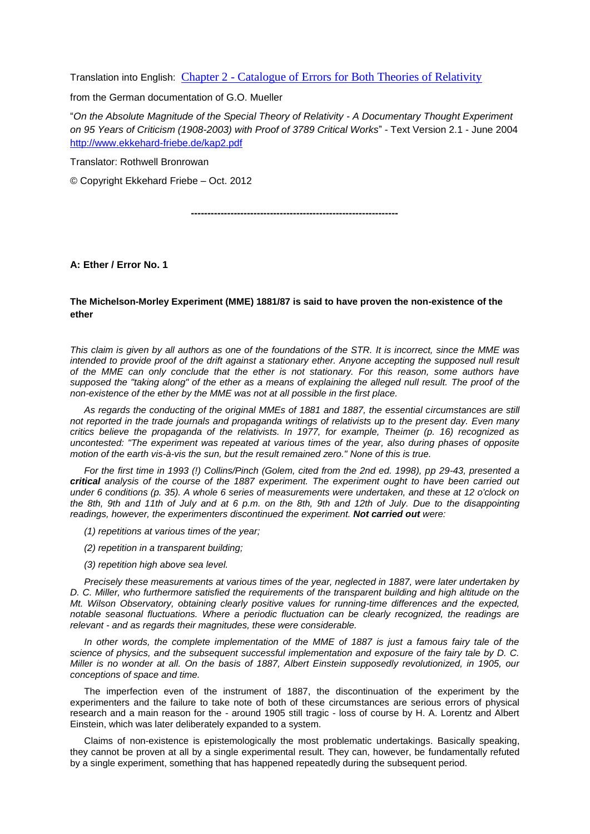Translation into English: Chapter 2 - [Catalogue of Errors for Both Theories of Relativity](http://www.kritik-relativitaetstheorie.de/Anhaenge/Kapitel2-englisch.pdf)

from the German documentation of G.O. Mueller

"*On the Absolute Magnitude of the Special Theory of Relativity - A Documentary Thought Experiment on 95 Years of Criticism (1908-2003) with Proof of 3789 Critical Works*" - Text Version 2.1 - June 2004 <http://www.ekkehard-friebe.de/kap2.pdf>

Translator: Rothwell Bronrowan

© Copyright Ekkehard Friebe – Oct. 2012

**---------------------------------------------------------------**

**A: Ether / Error No. 1**

## **The Michelson-Morley Experiment (MME) 1881/87 is said to have proven the non-existence of the ether**

*This claim is given by all authors as one of the foundations of the STR. It is incorrect, since the MME was intended to provide proof of the drift against a stationary ether. Anyone accepting the supposed null result of the MME can only conclude that the ether is not stationary. For this reason, some authors have supposed the "taking along" of the ether as a means of explaining the alleged null result. The proof of the non-existence of the ether by the MME was not at all possible in the first place.*

*As regards the conducting of the original MMEs of 1881 and 1887, the essential circumstances are still not reported in the trade journals and propaganda writings of relativists up to the present day. Even many critics believe the propaganda of the relativists. In 1977, for example, Theimer (p. 16) recognized as uncontested: "The experiment was repeated at various times of the year, also during phases of opposite motion of the earth vis-à-vis the sun, but the result remained zero." None of this is true.*

*For the first time in 1993 (!) Collins/Pinch (Golem, cited from the 2nd ed. 1998), pp 29-43, presented a critical analysis of the course of the 1887 experiment. The experiment ought to have been carried out under 6 conditions (p. 35). A whole 6 series of measurements were undertaken, and these at 12 o'clock on the 8th, 9th and 11th of July and at 6 p.m. on the 8th, 9th and 12th of July. Due to the disappointing readings, however, the experimenters discontinued the experiment. Not carried out were:*

- *(1) repetitions at various times of the year;*
- *(2) repetition in a transparent building;*
- *(3) repetition high above sea level.*

*Precisely these measurements at various times of the year, neglected in 1887, were later undertaken by D. C. Miller, who furthermore satisfied the requirements of the transparent building and high altitude on the Mt. Wilson Observatory, obtaining clearly positive values for running-time differences and the expected, notable seasonal fluctuations. Where a periodic fluctuation can be clearly recognized, the readings are relevant - and as regards their magnitudes, these were considerable.*

In other words, the complete implementation of the MME of 1887 is just a famous fairy tale of the *science of physics, and the subsequent successful implementation and exposure of the fairy tale by D. C. Miller is no wonder at all. On the basis of 1887, Albert Einstein supposedly revolutionized, in 1905, our conceptions of space and time.*

The imperfection even of the instrument of 1887, the discontinuation of the experiment by the experimenters and the failure to take note of both of these circumstances are serious errors of physical research and a main reason for the - around 1905 still tragic - loss of course by H. A. Lorentz and Albert Einstein, which was later deliberately expanded to a system.

Claims of non-existence is epistemologically the most problematic undertakings. Basically speaking, they cannot be proven at all by a single experimental result. They can, however, be fundamentally refuted by a single experiment, something that has happened repeatedly during the subsequent period.